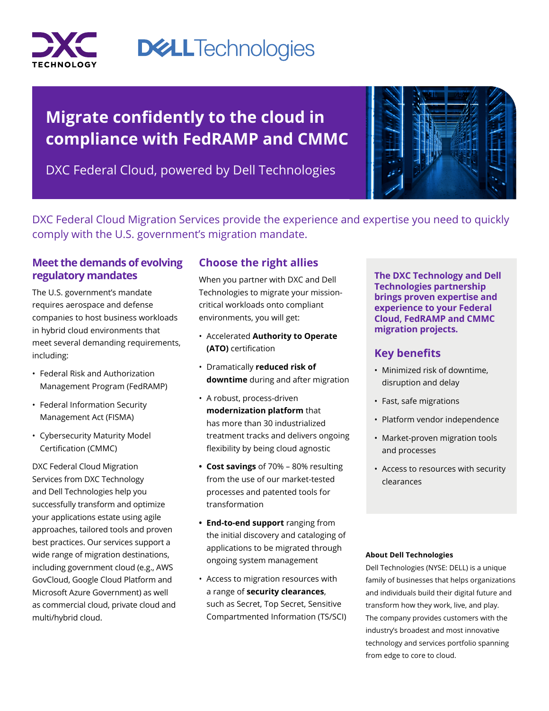

# **DELLTechnologies**

# **Migrate confidently to the cloud in compliance with FedRAMP and CMMC**

DXC Federal Cloud, powered by Dell Technologies



DXC Federal Cloud Migration Services provide the experience and expertise you need to quickly comply with the U.S. government's migration mandate.

### **Meet the demands of evolving regulatory mandates**

The U.S. government's mandate requires aerospace and defense companies to host business workloads in hybrid cloud environments that meet several demanding requirements, including:

- Federal Risk and Authorization Management Program (FedRAMP)
- Federal Information Security Management Act (FISMA)
- Cybersecurity Maturity Model Certification (CMMC)

DXC Federal Cloud Migration Services from DXC Technology and Dell Technologies help you successfully transform and optimize your applications estate using agile approaches, tailored tools and proven best practices. Our services support a wide range of migration destinations, including government cloud (e.g., AWS GovCloud, Google Cloud Platform and Microsoft Azure Government) as well as commercial cloud, private cloud and multi/hybrid cloud.

## **Choose the right allies**

When you partner with DXC and Dell Technologies to migrate your missioncritical workloads onto compliant environments, you will get:

- Accelerated **Authority to Operate (ATO)** certification
- Dramatically **reduced risk of downtime** during and after migration
- A robust, process-driven **modernization platform** that has more than 30 industrialized treatment tracks and delivers ongoing flexibility by being cloud agnostic
- **• Cost savings** of 70% 80% resulting from the use of our market-tested processes and patented tools for transformation
- **• End-to-end support** ranging from the initial discovery and cataloging of applications to be migrated through ongoing system management
- Access to migration resources with a range of **security clearances**, such as Secret, Top Secret, Sensitive Compartmented Information (TS/SCI)

**The DXC Technology and Dell Technologies partnership brings proven expertise and experience to your Federal Cloud, FedRAMP and CMMC migration projects.**

### **Key benefits**

- Minimized risk of downtime, disruption and delay
- Fast, safe migrations
- Platform vendor independence
- Market-proven migration tools and processes
- Access to resources with security clearances

#### **About Dell Technologies**

Dell Technologies (NYSE: DELL) is a unique family of businesses that helps organizations and individuals build their digital future and transform how they work, live, and play. The company provides customers with the industry's broadest and most innovative technology and services portfolio spanning from edge to core to cloud.